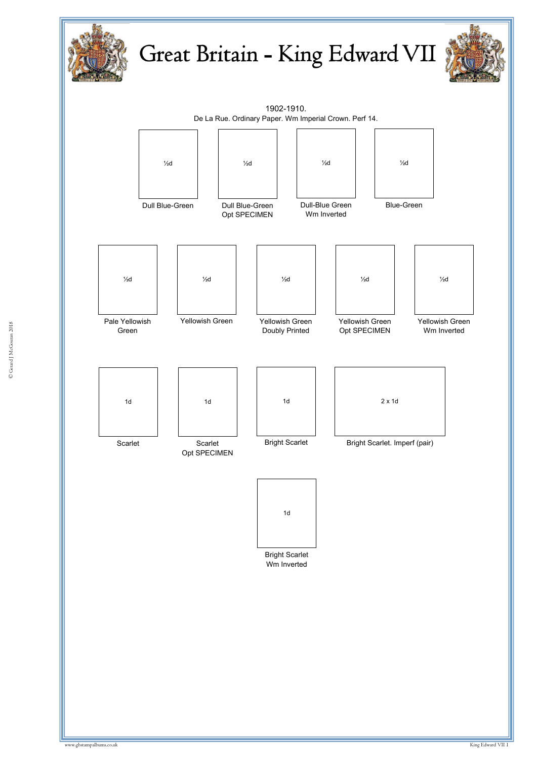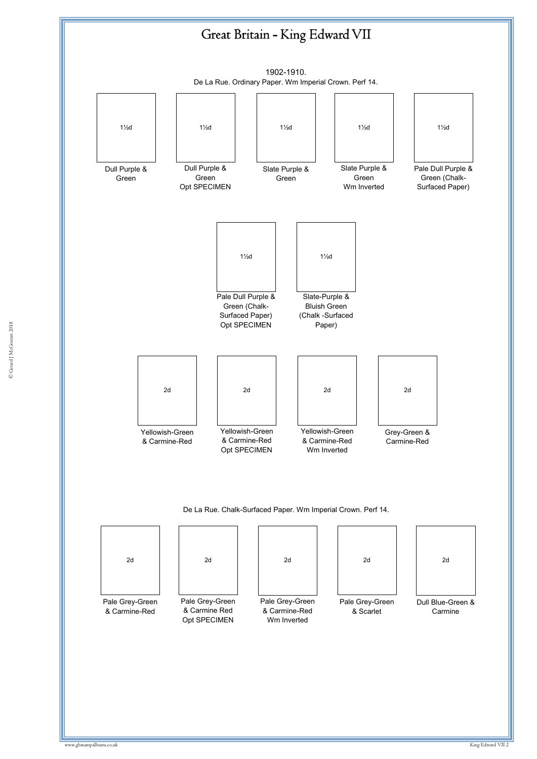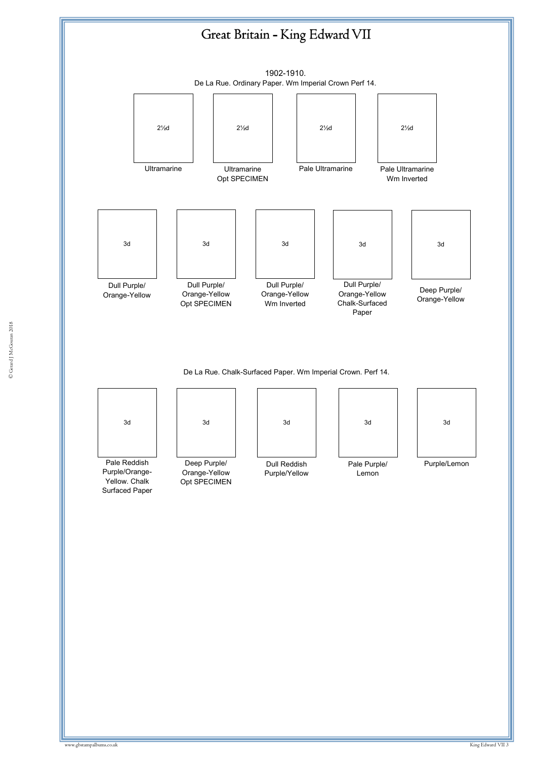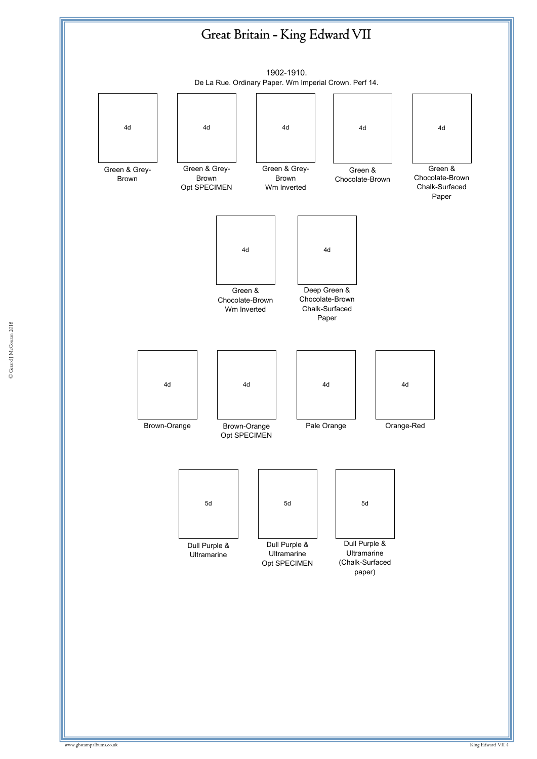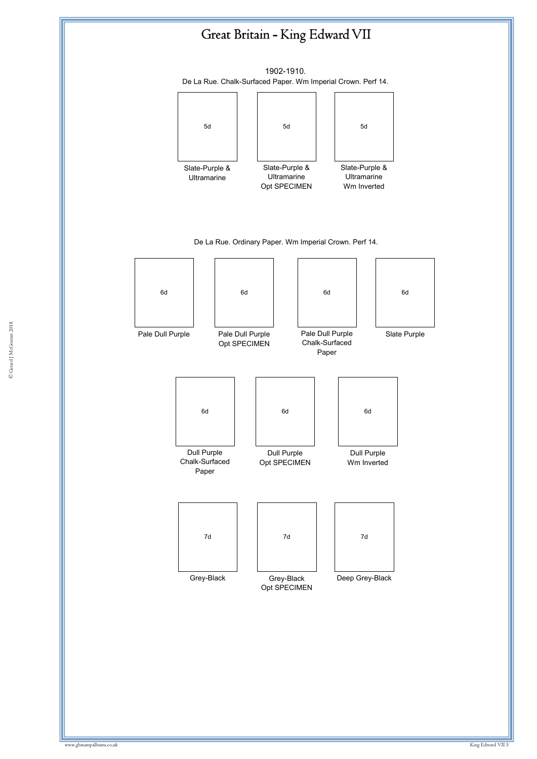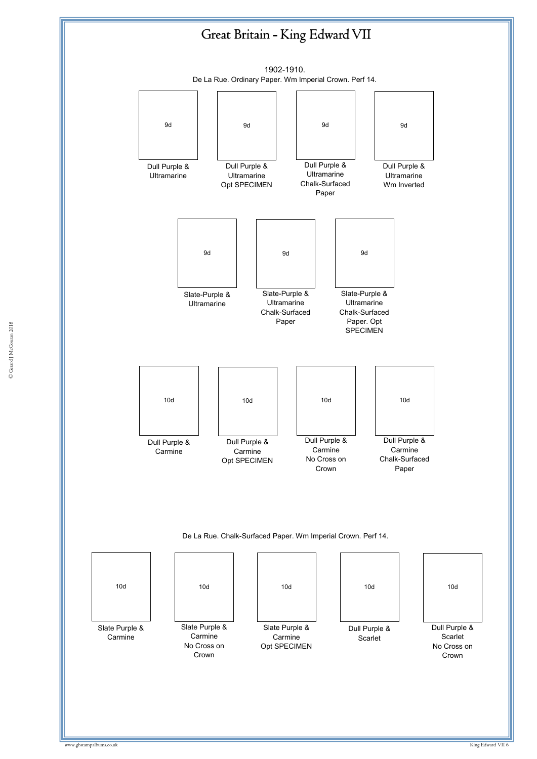

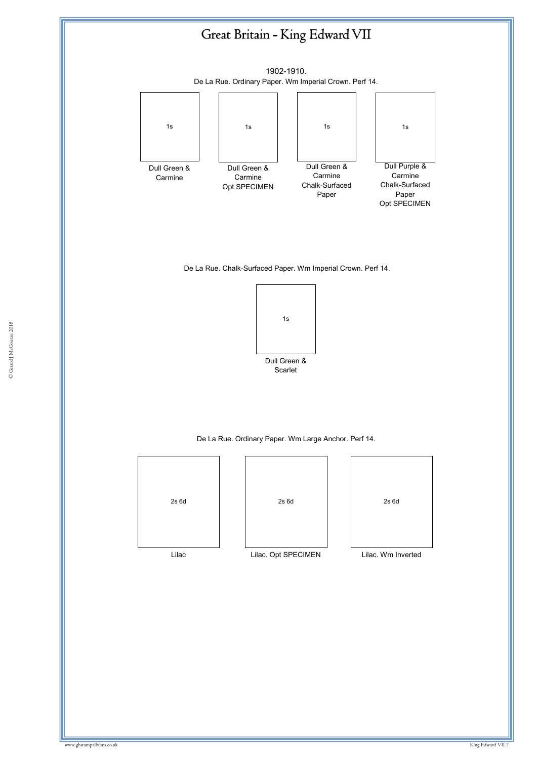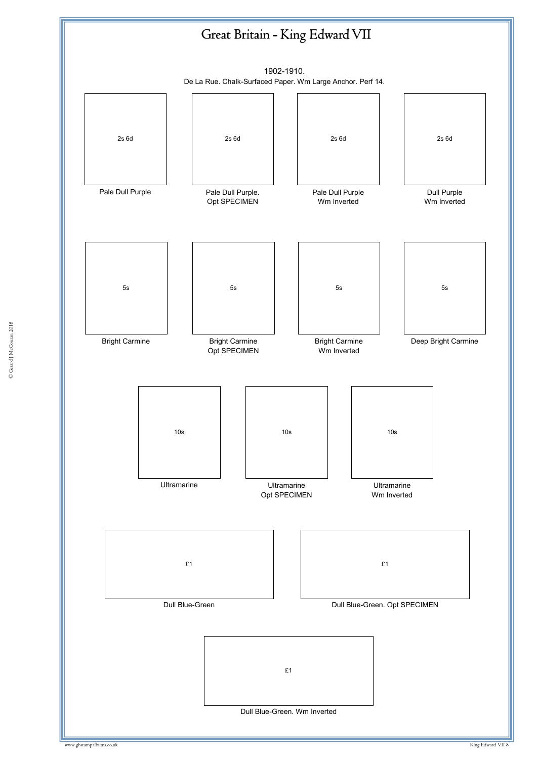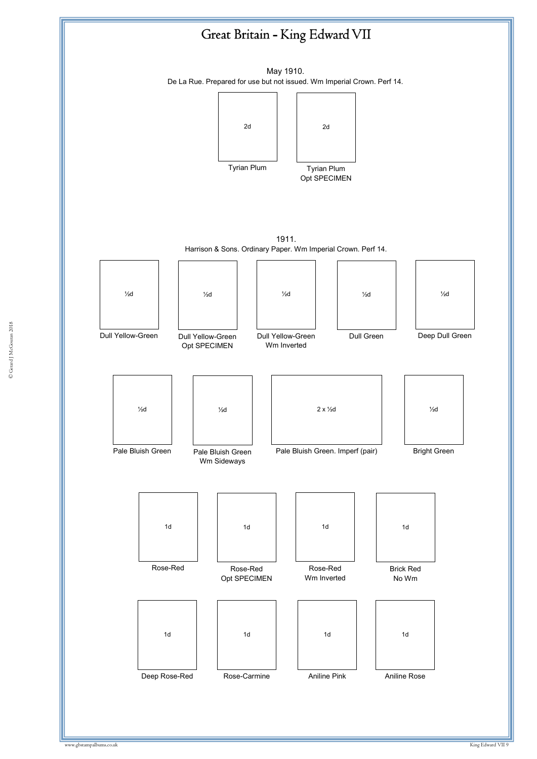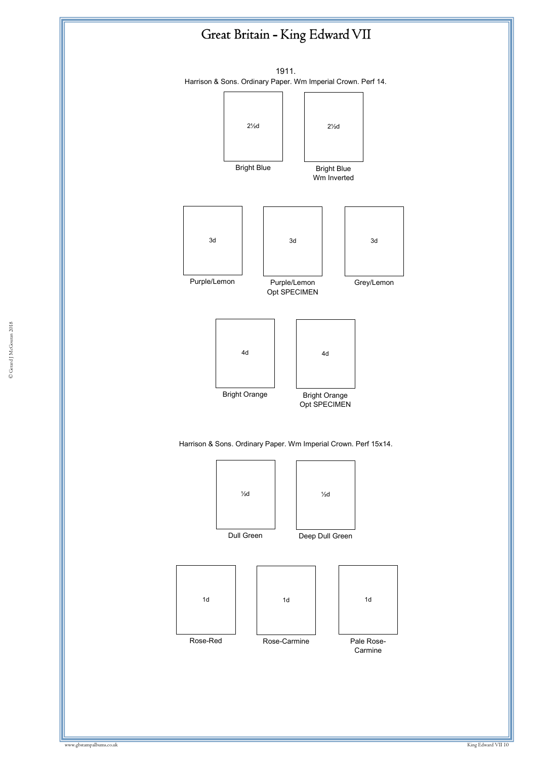

Dull Green





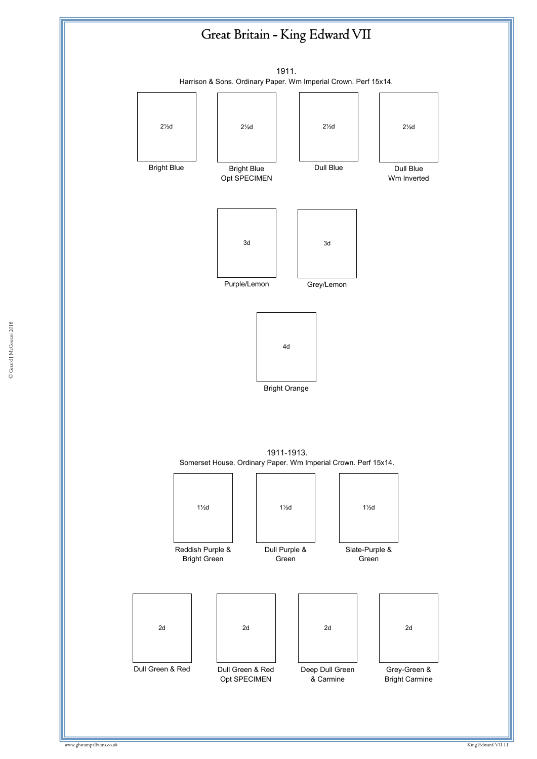





Grey/Lemon

Purple/Lemon



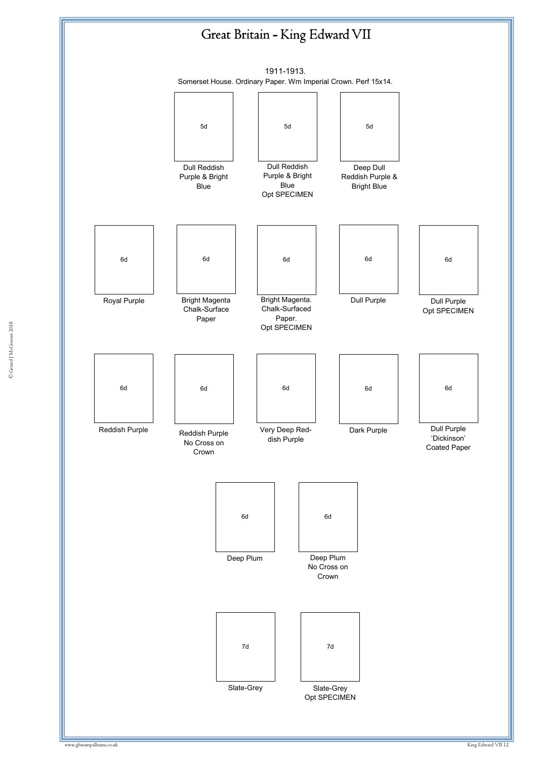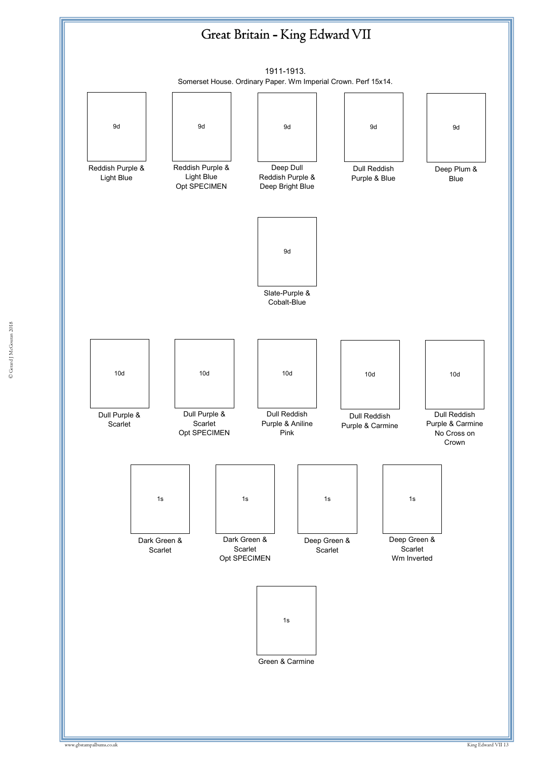